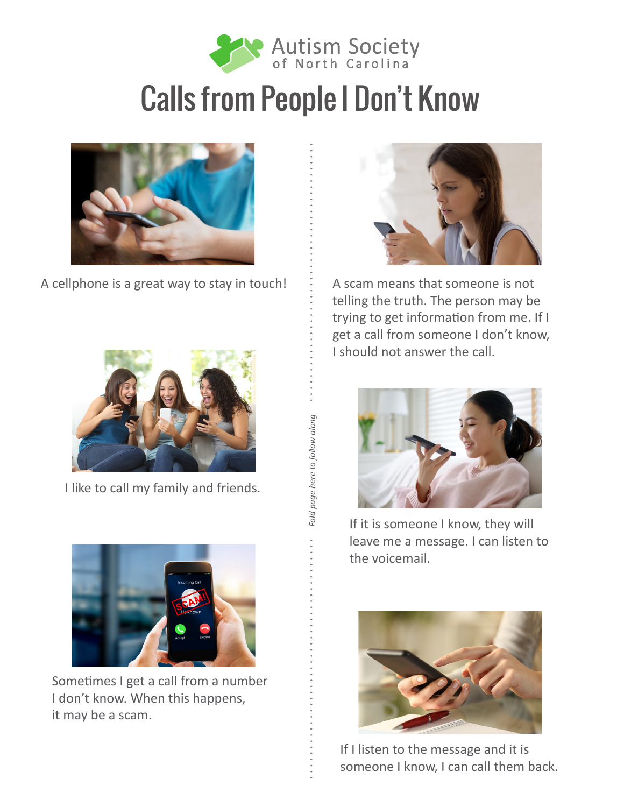

## Calls from People I Don't Know



A cellphone is a great way to stay in touch!  $\therefore$  A scam means that someone is not



I like to call my family and friends.



Sometimes I get a call from a number I don't know. When this happens, it may be a scam.



telling the truth. The person may be trying to get information from me. If I get a call from someone I don't know, I should not answer the call.



If it is someone I know, they will leave me a message. I can listen to the voicemail.



If I listen to the message and it is someone I know, I can call them back.

Fold page here to follow along *Fold page here to follow along*